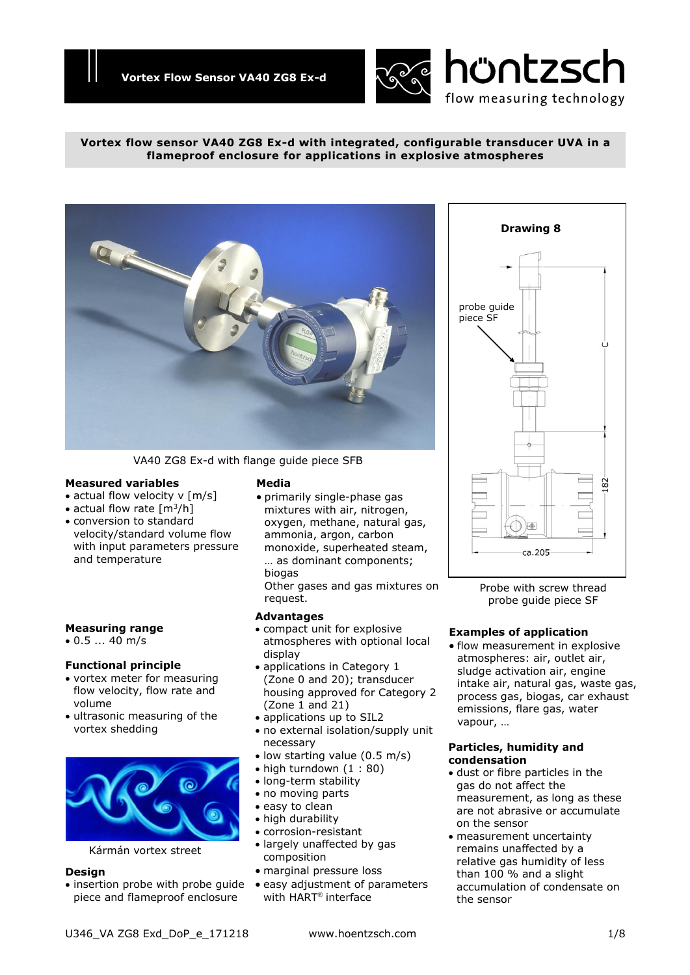

## **Vortex flow sensor VA40 ZG8 Ex-d with integrated, configurable transducer UVA in a flameproof enclosure for applications in explosive atmospheres**



VA40 ZG8 Ex-d with flange guide piece SFB

# **Measured variables**

- actual flow velocity v [m/s]
- actual flow rate  $[m^3/h]$
- conversion to standard velocity/standard volume flow with input parameters pressure and temperature

# **Measuring range**

0.5 ... 40 m/s

# **Functional principle**

- vortex meter for measuring flow velocity, flow rate and volume
- ultrasonic measuring of the vortex shedding



Kármán vortex street

#### **Design**

• insertion probe with probe guide piece and flameproof enclosure

# **Media**

 primarily single-phase gas mixtures with air, nitrogen, oxygen, methane, natural gas, ammonia, argon, carbon monoxide, superheated steam, … as dominant components; biogas

Other gases and gas mixtures on request.

# **Advantages**

- compact unit for explosive atmospheres with optional local display
- applications in Category 1 (Zone 0 and 20); transducer housing approved for Category 2 (Zone 1 and 21)
- applications up to SIL2
- no external isolation/supply unit necessary
- low starting value (0.5 m/s)
- $\bullet$  high turndown (1 : 80)
- long-term stability
- no moving parts
- easy to clean
- high durability
- corrosion-resistant
- largely unaffected by gas composition
- marginal pressure loss
- easy adjustment of parameters with HART<sup>®</sup> interface

# **Drawing 8** probe guide piece SF82 **I⊕** ca.205

Probe with screw thread probe guide piece SF

# **Examples of application**

• flow measurement in explosive atmospheres: air, outlet air, sludge activation air, engine intake air, natural gas, waste gas, process gas, biogas, car exhaust emissions, flare gas, water vapour, …

### **Particles, humidity and condensation**

- dust or fibre particles in the gas do not affect the measurement, as long as these are not abrasive or accumulate on the sensor
- measurement uncertainty remains unaffected by a relative gas humidity of less than 100 % and a slight accumulation of condensate on the sensor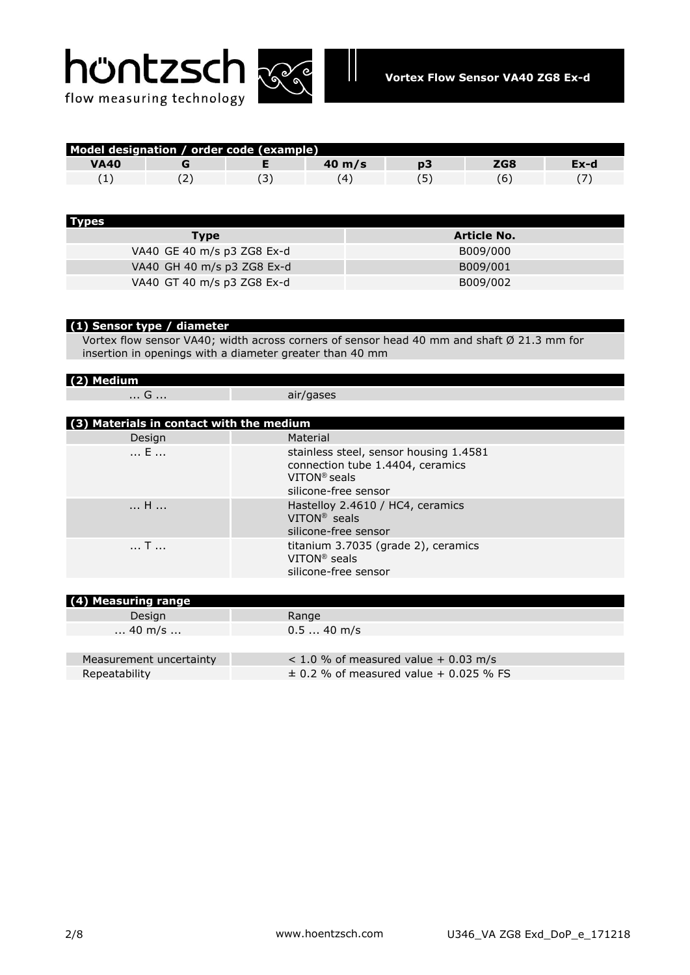



| Model designation / order code (example) |  |  |                  |  |     |      |
|------------------------------------------|--|--|------------------|--|-----|------|
| <b>VA40</b>                              |  |  | $40 \text{ m/s}$ |  | ZG8 | Ex-d |
|                                          |  |  |                  |  |     |      |

| <b>Types</b>               |                    |
|----------------------------|--------------------|
| <b>Type</b>                | <b>Article No.</b> |
| VA40 GE 40 m/s p3 ZG8 Ex-d | B009/000           |
| VA40 GH 40 m/s p3 ZG8 Ex-d | B009/001           |
| VA40 GT 40 m/s p3 ZG8 Ex-d | B009/002           |

# **(1) Sensor type / diameter**

Vortex flow sensor VA40; width across corners of sensor head 40 mm and shaft Ø 21.3 mm for insertion in openings with a diameter greater than 40 mm

| $(2)$ Medium                             |                                                                                                                      |  |  |  |
|------------------------------------------|----------------------------------------------------------------------------------------------------------------------|--|--|--|
| G                                        | air/gases                                                                                                            |  |  |  |
|                                          |                                                                                                                      |  |  |  |
| (3) Materials in contact with the medium |                                                                                                                      |  |  |  |
| Design                                   | Material                                                                                                             |  |  |  |
| E                                        | stainless steel, sensor housing 1.4581<br>connection tube 1.4404, ceramics<br>$VITON®$ seals<br>silicone-free sensor |  |  |  |
| H                                        | Hastelloy 2.4610 / HC4, ceramics<br>$VITON^®$ seals<br>silicone-free sensor                                          |  |  |  |
| $ $ T $$                                 | titanium 3.7035 (grade 2), ceramics<br>VITON <sup>®</sup> seals<br>silicone-free sensor                              |  |  |  |
|                                          |                                                                                                                      |  |  |  |
| (4) Measuring range                      |                                                                                                                      |  |  |  |
| Design                                   | Range                                                                                                                |  |  |  |
| $\dots$ 40 m/s $\dots$                   | $0.540$ m/s                                                                                                          |  |  |  |
|                                          |                                                                                                                      |  |  |  |
| Measurement uncertainty                  | $<$ 1.0 % of measured value + 0.03 m/s                                                                               |  |  |  |

Repeatability  $\pm 0.2$  % of measured value + 0.025 % FS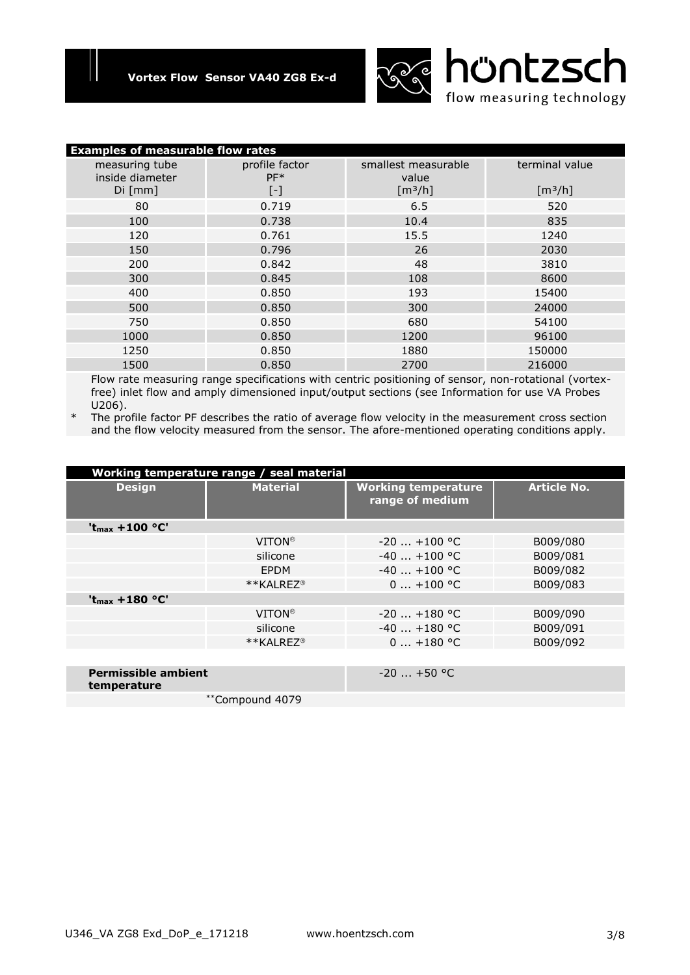

| <b>Examples of measurable flow rates</b> |                         |                              |                |  |  |
|------------------------------------------|-------------------------|------------------------------|----------------|--|--|
| measuring tube<br>inside diameter        | profile factor<br>$PF*$ | smallest measurable<br>value | terminal value |  |  |
| Di [mm]                                  | $[\cdot]$               | [m <sup>3</sup> /h]          | $[m^3/h]$      |  |  |
| 80                                       | 0.719                   | 6.5                          | 520            |  |  |
| 100                                      | 0.738                   | 10.4                         | 835            |  |  |
| 120                                      | 0.761                   | 15.5                         | 1240           |  |  |
| 150                                      | 0.796                   | 26                           | 2030           |  |  |
| 200                                      | 0.842                   | 48                           | 3810           |  |  |
| 300                                      | 0.845                   | 108                          | 8600           |  |  |
| 400                                      | 0.850                   | 193                          | 15400          |  |  |
| 500                                      | 0.850                   | 300                          | 24000          |  |  |
| 750                                      | 0.850                   | 680                          | 54100          |  |  |
| 1000                                     | 0.850                   | 1200                         | 96100          |  |  |
| 1250                                     | 0.850                   | 1880                         | 150000         |  |  |
| 1500                                     | 0.850                   | 2700                         | 216000         |  |  |

Flow rate measuring range specifications with centric positioning of sensor, non-rotational (vortexfree) inlet flow and amply dimensioned input/output sections (see Information for use VA Probes U206).

\* The profile factor PF describes the ratio of average flow velocity in the measurement cross section and the flow velocity measured from the sensor. The afore-mentioned operating conditions apply.

| Working temperature range / seal material |                       |                                               |                    |  |  |
|-------------------------------------------|-----------------------|-----------------------------------------------|--------------------|--|--|
| <b>Design</b>                             | <b>Material</b>       | <b>Working temperature</b><br>range of medium | <b>Article No.</b> |  |  |
| $'t_{max}$ +100 °C'                       |                       |                                               |                    |  |  |
|                                           | <b>VITON®</b>         | $-20$ $+100$ °C                               | B009/080           |  |  |
|                                           | silicone              | $-40$ $+100$ °C                               | B009/081           |  |  |
|                                           | <b>EPDM</b>           | $-40$ $+100$ °C                               | B009/082           |  |  |
|                                           | **KALREZ <sup>®</sup> | $0+100$ °C                                    | B009/083           |  |  |
| ' $t_{max}$ +180 °C'                      |                       |                                               |                    |  |  |
|                                           | <b>VITON®</b>         | $-20$ $+180$ °C                               | B009/090           |  |  |
|                                           | silicone              | $-40$ $+180$ °C                               | B009/091           |  |  |
|                                           | **KALREZ <sup>®</sup> | $0+180$ °C                                    | B009/092           |  |  |
|                                           |                       |                                               |                    |  |  |
| <b>Permissible ambient</b><br>temperature |                       | $-20$ $+50$ °C                                |                    |  |  |
|                                           | **Compound 4079       |                                               |                    |  |  |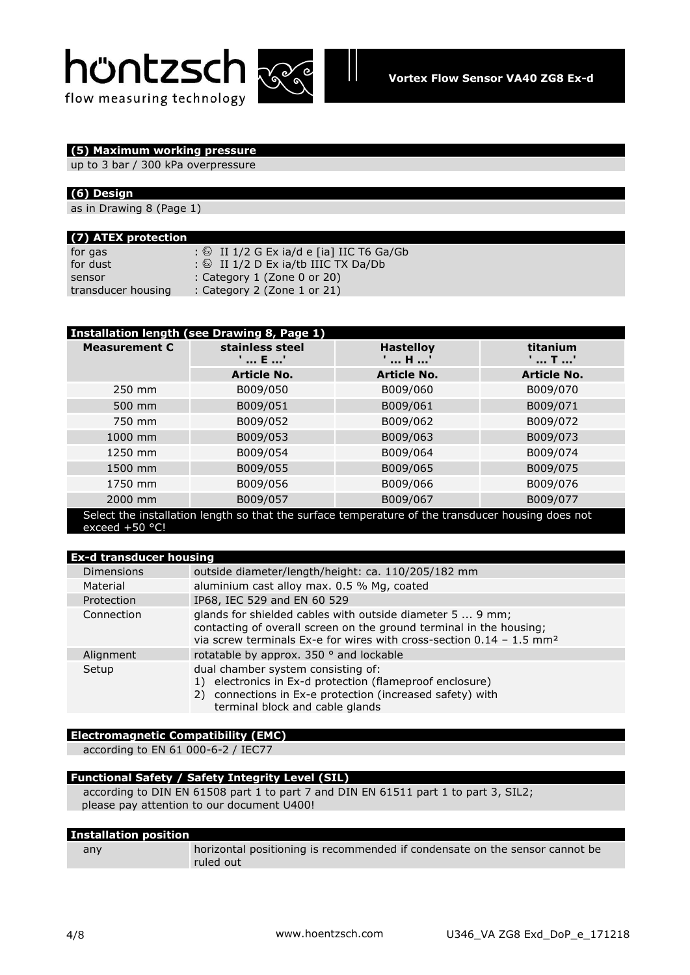# höntzsch





# **(5) Maximum working pressure**

up to 3 bar / 300 kPa overpressure

# **(6) Design**

as in Drawing 8 (Page 1)

| (7) ATEX protection |                                                      |
|---------------------|------------------------------------------------------|
| for gas             | : $\circled{ }$ II 1/2 G Ex ia/d e [ia] IIC T6 Ga/Gb |
| for dust            | : $\circled{2}$ II 1/2 D Ex ia/tb IIIC TX Da/Db      |
| sensor              | : Category $1$ (Zone 0 or 20)                        |
| transducer housing  | : Category 2 (Zone 1 or 21)                          |

| Installation length (see Drawing 8, Page 1)                                                                           |                        |                         |                                              |  |  |  |
|-----------------------------------------------------------------------------------------------------------------------|------------------------|-------------------------|----------------------------------------------|--|--|--|
| <b>Measurement C</b>                                                                                                  | stainless steel<br>E ' | <b>Hastelloy</b><br>H ' | titanium<br>$\ldots$ T $\ldots$ <sup>'</sup> |  |  |  |
|                                                                                                                       | <b>Article No.</b>     | <b>Article No.</b>      | <b>Article No.</b>                           |  |  |  |
| 250 mm                                                                                                                | B009/050               | B009/060                | B009/070                                     |  |  |  |
| 500 mm                                                                                                                | B009/051               | B009/061                | B009/071                                     |  |  |  |
| 750 mm                                                                                                                | B009/052               | B009/062                | B009/072                                     |  |  |  |
| 1000 mm                                                                                                               | B009/053               | B009/063                | B009/073                                     |  |  |  |
| 1250 mm                                                                                                               | B009/054               | B009/064                | B009/074                                     |  |  |  |
| 1500 mm                                                                                                               | B009/055               | B009/065                | B009/075                                     |  |  |  |
| 1750 mm                                                                                                               | B009/056               | B009/066                | B009/076                                     |  |  |  |
| 2000 mm                                                                                                               | B009/057               | B009/067                | B009/077                                     |  |  |  |
| Select the installation length so that the surface temperature of the transducer housing does not<br>exceed $+50$ °C! |                        |                         |                                              |  |  |  |

| <b>Ex-d transducer housing</b> |                                                                                                                                                                                                                        |  |  |
|--------------------------------|------------------------------------------------------------------------------------------------------------------------------------------------------------------------------------------------------------------------|--|--|
| <b>Dimensions</b>              | outside diameter/length/height: ca. 110/205/182 mm                                                                                                                                                                     |  |  |
| Material                       | aluminium cast alloy max. 0.5 % Mg, coated                                                                                                                                                                             |  |  |
| Protection                     | IP68, IEC 529 and EN 60 529                                                                                                                                                                                            |  |  |
| Connection                     | glands for shielded cables with outside diameter 5  9 mm;<br>contacting of overall screen on the ground terminal in the housing;<br>via screw terminals Ex-e for wires with cross-section $0.14 - 1.5$ mm <sup>2</sup> |  |  |
| Alignment                      | rotatable by approx. 350 ° and lockable                                                                                                                                                                                |  |  |
| Setup                          | dual chamber system consisting of:<br>1) electronics in Ex-d protection (flameproof enclosure)<br>2) connections in Ex-e protection (increased safety) with<br>terminal block and cable glands                         |  |  |

# **Electromagnetic Compatibility (EMC)**

according to EN 61 000-6-2 / IEC77

# **Functional Safety / Safety Integrity Level (SIL)**

according to DIN EN 61508 part 1 to part 7 and DIN EN 61511 part 1 to part 3, SIL2; please pay attention to our document U400!

| <b>Installation position</b> |                                                                                          |  |  |  |
|------------------------------|------------------------------------------------------------------------------------------|--|--|--|
| any                          | horizontal positioning is recommended if condensate on the sensor cannot be<br>ruled out |  |  |  |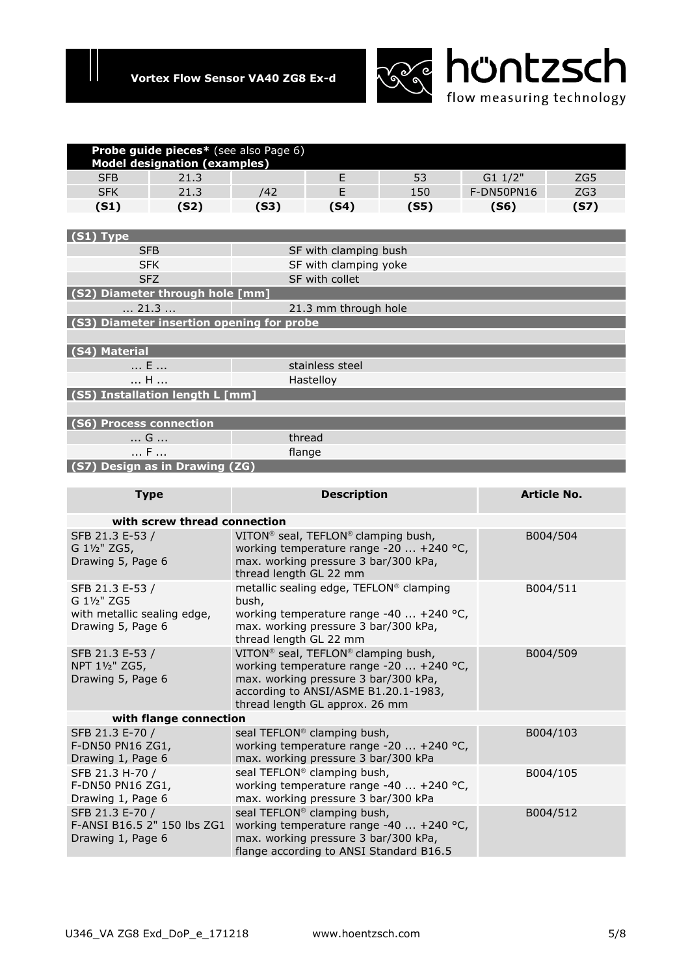

|                                               | Probe guide pieces* (see also Page 6)<br><b>Model designation (examples)</b> |                                                                                                        |                                                             |                                          |            |             |
|-----------------------------------------------|------------------------------------------------------------------------------|--------------------------------------------------------------------------------------------------------|-------------------------------------------------------------|------------------------------------------|------------|-------------|
| <b>SFB</b>                                    | 21.3                                                                         |                                                                                                        | E                                                           | 53                                       | G1 1/2"    | ZG5         |
| <b>SFK</b>                                    | 21.3                                                                         | /42                                                                                                    | F.                                                          | 150                                      | F-DN50PN16 | ZG3         |
| (S1)                                          | (S2)                                                                         | (S3)                                                                                                   | (S4)                                                        | (S5)                                     | (S6)       | (S7)        |
|                                               |                                                                              |                                                                                                        |                                                             |                                          |            |             |
| (S1) Type                                     |                                                                              |                                                                                                        |                                                             |                                          |            |             |
| <b>SFB</b>                                    |                                                                              |                                                                                                        | SF with clamping bush                                       |                                          |            |             |
| <b>SFK</b>                                    |                                                                              |                                                                                                        | SF with clamping yoke                                       |                                          |            |             |
| <b>SFZ</b><br>(S2) Diameter through hole [mm] |                                                                              |                                                                                                        | SF with collet                                              |                                          |            |             |
| $\dots$ 21.3 $\dots$                          |                                                                              |                                                                                                        | 21.3 mm through hole                                        |                                          |            |             |
| (S3) Diameter insertion opening for probe     |                                                                              |                                                                                                        |                                                             |                                          |            |             |
|                                               |                                                                              |                                                                                                        |                                                             |                                          |            |             |
| (S4) Material                                 |                                                                              |                                                                                                        |                                                             |                                          |            |             |
| E                                             |                                                                              |                                                                                                        | stainless steel                                             |                                          |            |             |
| H                                             |                                                                              |                                                                                                        | Hastelloy                                                   |                                          |            |             |
| (S5) Installation length L [mm]               |                                                                              |                                                                                                        |                                                             |                                          |            |             |
|                                               |                                                                              |                                                                                                        |                                                             |                                          |            |             |
| (S6) Process connection                       |                                                                              |                                                                                                        |                                                             |                                          |            |             |
| G                                             |                                                                              | thread                                                                                                 |                                                             |                                          |            |             |
| F<br>flange                                   |                                                                              |                                                                                                        |                                                             |                                          |            |             |
| (S7) Design as in Drawing (ZG)                |                                                                              |                                                                                                        |                                                             |                                          |            |             |
| <b>Type</b>                                   |                                                                              |                                                                                                        | <b>Description</b>                                          |                                          |            | Article No. |
|                                               |                                                                              |                                                                                                        |                                                             |                                          |            |             |
|                                               | with screw thread connection                                                 |                                                                                                        |                                                             |                                          |            |             |
| SFB 21.3 E-53 /                               |                                                                              |                                                                                                        | VITON <sup>®</sup> seal, TEFLON <sup>®</sup> clamping bush, |                                          |            | B004/504    |
| G 11/2" ZG5,                                  |                                                                              |                                                                                                        |                                                             | working temperature range -20  +240 °C,  |            |             |
| Drawing 5, Page 6                             |                                                                              | thread length GL 22 mm                                                                                 | max. working pressure 3 bar/300 kPa,                        |                                          |            |             |
| SFB 21.3 E-53 /                               |                                                                              |                                                                                                        | metallic sealing edge, TEFLON® clamping                     |                                          |            | B004/511    |
| G 11/2" ZG5                                   |                                                                              | bush,                                                                                                  |                                                             |                                          |            |             |
| with metallic sealing edge,                   |                                                                              | working temperature range -40  +240 °C,                                                                |                                                             |                                          |            |             |
| Drawing 5, Page 6                             |                                                                              | max. working pressure 3 bar/300 kPa,                                                                   |                                                             |                                          |            |             |
|                                               |                                                                              | thread length GL 22 mm                                                                                 |                                                             |                                          |            |             |
| SFB 21.3 E-53 /<br>NPT 11/2" ZG5,             |                                                                              | VITON <sup>®</sup> seal, TEFLON® clamping bush,<br>B004/509<br>working temperature range -20  +240 °C, |                                                             |                                          |            |             |
| Drawing 5, Page 6                             |                                                                              |                                                                                                        | max. working pressure 3 bar/300 kPa,                        |                                          |            |             |
|                                               |                                                                              |                                                                                                        | according to ANSI/ASME B1.20.1-1983,                        |                                          |            |             |
|                                               |                                                                              |                                                                                                        | thread length GL approx. 26 mm                              |                                          |            |             |
|                                               | with flange connection                                                       |                                                                                                        |                                                             |                                          |            |             |
| SFB 21.3 E-70 /<br>$F-DN50$ $DN16$ $7C1$      |                                                                              |                                                                                                        | seal TEFLON® clamping bush,                                 | working temperature range $-20 + 240$ °C |            | B004/103    |

| SFB 21.3 E-70 /<br>F-DN50 PN16 ZG1,<br>Drawing 1, Page 6            | seal TEFLON <sup>®</sup> clamping bush,<br>working temperature range -20  +240 °C,<br>max. working pressure 3 bar/300 kPa                                             | B004/103 |
|---------------------------------------------------------------------|-----------------------------------------------------------------------------------------------------------------------------------------------------------------------|----------|
| SFB 21.3 H-70 /<br>F-DN50 PN16 ZG1,<br>Drawing 1, Page 6            | seal TEFLON <sup>®</sup> clamping bush,<br>working temperature range -40  +240 °C,<br>max. working pressure 3 bar/300 kPa                                             | B004/105 |
| SFB 21.3 E-70 /<br>F-ANSI B16.5 2" 150 lbs ZG1<br>Drawing 1, Page 6 | seal TEFLON <sup>®</sup> clamping bush,<br>working temperature range -40  +240 °C,<br>max. working pressure 3 bar/300 kPa,<br>flange according to ANSI Standard B16.5 | B004/512 |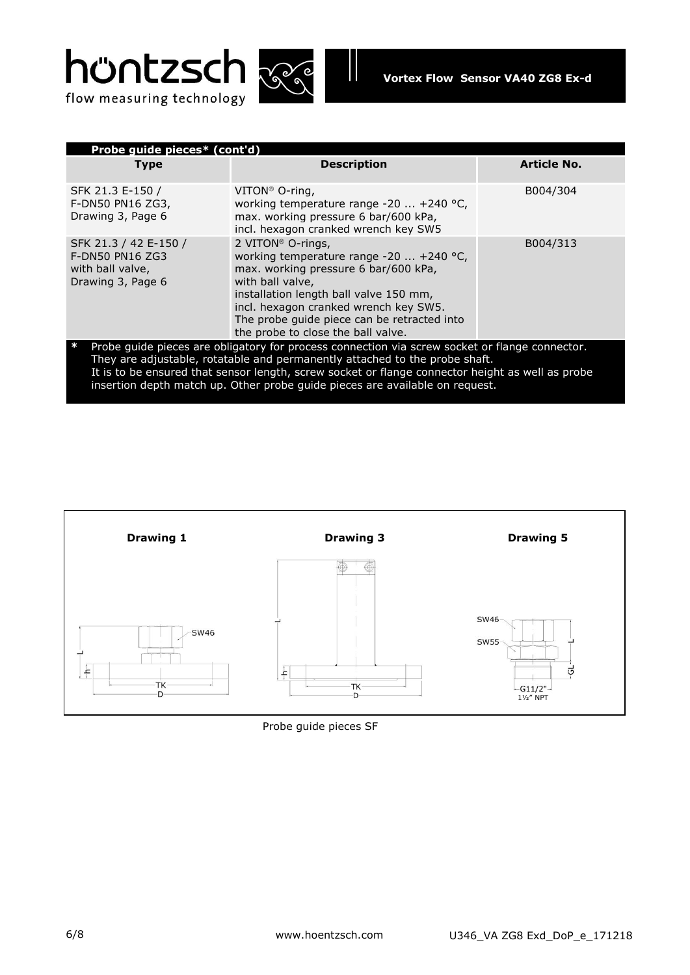



| Probe guide pieces* (cont'd)                                                                                                                                                                                                                                                      |                                                                                                                                                                                                                                                                                                                 |                    |  |
|-----------------------------------------------------------------------------------------------------------------------------------------------------------------------------------------------------------------------------------------------------------------------------------|-----------------------------------------------------------------------------------------------------------------------------------------------------------------------------------------------------------------------------------------------------------------------------------------------------------------|--------------------|--|
| Type                                                                                                                                                                                                                                                                              | <b>Description</b>                                                                                                                                                                                                                                                                                              | <b>Article No.</b> |  |
| SFK 21.3 E-150 /<br>F-DN50 PN16 ZG3,<br>Drawing 3, Page 6                                                                                                                                                                                                                         | VITON <sup>®</sup> O-ring,<br>working temperature range -20  +240 °C,<br>max. working pressure 6 bar/600 kPa,<br>incl. hexagon cranked wrench key SW5                                                                                                                                                           | B004/304           |  |
| SFK 21.3 / 42 E-150 /<br>F-DN50 PN16 ZG3<br>with ball valve,<br>Drawing 3, Page 6                                                                                                                                                                                                 | 2 VITON <sup>®</sup> O-rings,<br>working temperature range $-20$ $+240$ °C,<br>max. working pressure 6 bar/600 kPa,<br>with ball valve,<br>installation length ball valve 150 mm,<br>incl. hexagon cranked wrench key SW5.<br>The probe guide piece can be retracted into<br>the probe to close the ball valve. | B004/313           |  |
| Probe guide pieces are obligatory for process connection via screw socket or flange connector.<br>They are adjustable, rotatable and permanently attached to the probe shaft.<br>It is to be ensured that sensor length, screw socket or flange connector height as well as probe |                                                                                                                                                                                                                                                                                                                 |                    |  |

insertion depth match up. Other probe guide pieces are available on request.



# Probe guide pieces SF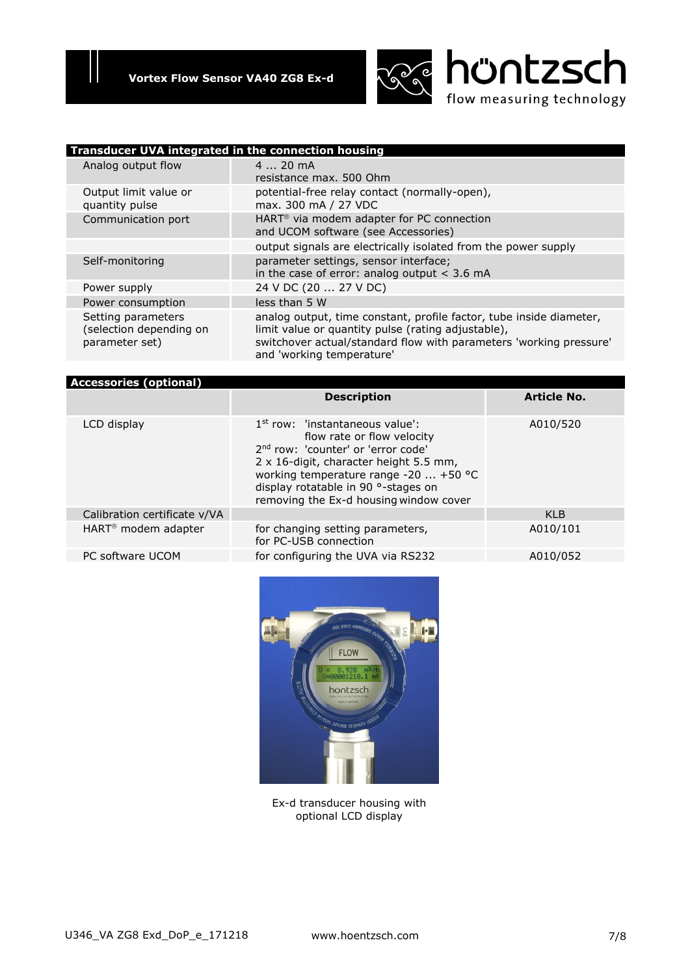

| Transducer UVA integrated in the connection housing             |                                                                                                                                                                                                                              |  |  |
|-----------------------------------------------------------------|------------------------------------------------------------------------------------------------------------------------------------------------------------------------------------------------------------------------------|--|--|
| Analog output flow                                              | $420$ mA                                                                                                                                                                                                                     |  |  |
|                                                                 | resistance max. 500 Ohm                                                                                                                                                                                                      |  |  |
| Output limit value or<br>quantity pulse                         | potential-free relay contact (normally-open),<br>max. 300 mA / 27 VDC                                                                                                                                                        |  |  |
| Communication port                                              | HART <sup>®</sup> via modem adapter for PC connection<br>and UCOM software (see Accessories)                                                                                                                                 |  |  |
|                                                                 | output signals are electrically isolated from the power supply                                                                                                                                                               |  |  |
| Self-monitoring                                                 | parameter settings, sensor interface;<br>in the case of error: analog output $<$ 3.6 mA                                                                                                                                      |  |  |
| Power supply                                                    | 24 V DC (20  27 V DC)                                                                                                                                                                                                        |  |  |
| Power consumption                                               | less than 5 W                                                                                                                                                                                                                |  |  |
| Setting parameters<br>(selection depending on<br>parameter set) | analog output, time constant, profile factor, tube inside diameter,<br>limit value or quantity pulse (rating adjustable),<br>switchover actual/standard flow with parameters 'working pressure'<br>and 'working temperature' |  |  |

| <b>Accessories (optional)</b>   |                                                                                                                                                                                                                                                                                       |                    |
|---------------------------------|---------------------------------------------------------------------------------------------------------------------------------------------------------------------------------------------------------------------------------------------------------------------------------------|--------------------|
|                                 | <b>Description</b>                                                                                                                                                                                                                                                                    | <b>Article No.</b> |
| LCD display                     | $1st$ row: 'instantaneous value':<br>flow rate or flow velocity<br>2 <sup>nd</sup> row: 'counter' or 'error code'<br>2 x 16-digit, character height 5.5 mm,<br>working temperature range -20  +50 °C<br>display rotatable in 90 °-stages on<br>removing the Ex-d housing window cover | A010/520           |
| Calibration certificate v/VA    |                                                                                                                                                                                                                                                                                       | <b>KLB</b>         |
| HART <sup>®</sup> modem adapter | for changing setting parameters,<br>for PC-USB connection                                                                                                                                                                                                                             | A010/101           |
| PC software UCOM                | for configuring the UVA via RS232                                                                                                                                                                                                                                                     | A010/052           |



Ex-d transducer housing with optional LCD display